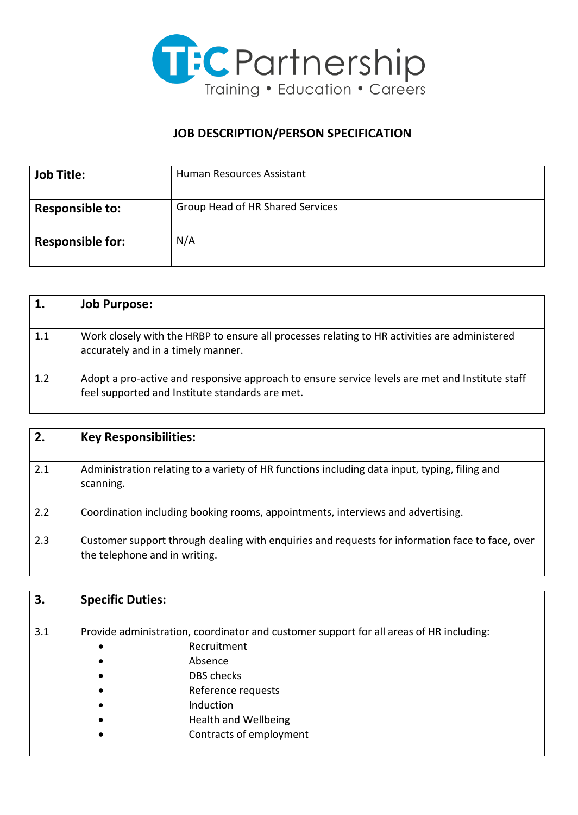

## **JOB DESCRIPTION/PERSON SPECIFICATION**

| <b>Job Title:</b>       | Human Resources Assistant        |
|-------------------------|----------------------------------|
| <b>Responsible to:</b>  | Group Head of HR Shared Services |
| <b>Responsible for:</b> | N/A                              |

|     | <b>Job Purpose:</b>                                                                                                                                |
|-----|----------------------------------------------------------------------------------------------------------------------------------------------------|
| 1.1 | Work closely with the HRBP to ensure all processes relating to HR activities are administered<br>accurately and in a timely manner.                |
| 1.2 | Adopt a pro-active and responsive approach to ensure service levels are met and Institute staff<br>feel supported and Institute standards are met. |

| 2.  | <b>Key Responsibilities:</b>                                                                                                     |
|-----|----------------------------------------------------------------------------------------------------------------------------------|
| 2.1 | Administration relating to a variety of HR functions including data input, typing, filing and<br>scanning.                       |
| 2.2 | Coordination including booking rooms, appointments, interviews and advertising.                                                  |
| 2.3 | Customer support through dealing with enquiries and requests for information face to face, over<br>the telephone and in writing. |

| 3.  | <b>Specific Duties:</b>                                                                 |                             |
|-----|-----------------------------------------------------------------------------------------|-----------------------------|
| 3.1 | Provide administration, coordinator and customer support for all areas of HR including: |                             |
|     | $\bullet$                                                                               | Recruitment                 |
|     |                                                                                         | Absence                     |
|     |                                                                                         | <b>DBS</b> checks           |
|     |                                                                                         | Reference requests          |
|     |                                                                                         | <b>Induction</b>            |
|     |                                                                                         | <b>Health and Wellbeing</b> |
|     |                                                                                         | Contracts of employment     |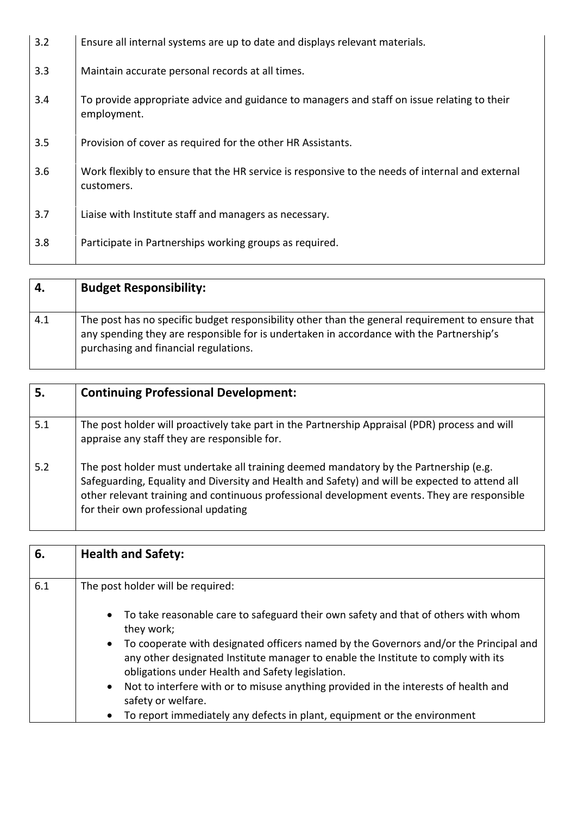| 3.2 | Ensure all internal systems are up to date and displays relevant materials.                                   |
|-----|---------------------------------------------------------------------------------------------------------------|
| 3.3 | Maintain accurate personal records at all times.                                                              |
| 3.4 | To provide appropriate advice and guidance to managers and staff on issue relating to their<br>employment.    |
| 3.5 | Provision of cover as required for the other HR Assistants.                                                   |
| 3.6 | Work flexibly to ensure that the HR service is responsive to the needs of internal and external<br>customers. |
| 3.7 | Liaise with Institute staff and managers as necessary.                                                        |
| 3.8 | Participate in Partnerships working groups as required.                                                       |

| 4.  | <b>Budget Responsibility:</b>                                                                                                                                                                                                         |
|-----|---------------------------------------------------------------------------------------------------------------------------------------------------------------------------------------------------------------------------------------|
| 4.1 | The post has no specific budget responsibility other than the general requirement to ensure that<br>any spending they are responsible for is undertaken in accordance with the Partnership's<br>purchasing and financial regulations. |

| 5.  | <b>Continuing Professional Development:</b>                                                                                                                                                                                                                                                                                    |
|-----|--------------------------------------------------------------------------------------------------------------------------------------------------------------------------------------------------------------------------------------------------------------------------------------------------------------------------------|
| 5.1 | The post holder will proactively take part in the Partnership Appraisal (PDR) process and will<br>appraise any staff they are responsible for.                                                                                                                                                                                 |
| 5.2 | The post holder must undertake all training deemed mandatory by the Partnership (e.g.<br>Safeguarding, Equality and Diversity and Health and Safety) and will be expected to attend all<br>other relevant training and continuous professional development events. They are responsible<br>for their own professional updating |

| 6.  | <b>Health and Safety:</b>                                                                                                                                                                                           |
|-----|---------------------------------------------------------------------------------------------------------------------------------------------------------------------------------------------------------------------|
| 6.1 | The post holder will be required:                                                                                                                                                                                   |
|     | To take reasonable care to safeguard their own safety and that of others with whom<br>$\bullet$<br>they work;<br>To cooperate with designated officers named by the Governors and/or the Principal and<br>$\bullet$ |
|     | any other designated Institute manager to enable the Institute to comply with its<br>obligations under Health and Safety legislation.                                                                               |
|     | Not to interfere with or to misuse anything provided in the interests of health and<br>$\bullet$<br>safety or welfare.                                                                                              |
|     | To report immediately any defects in plant, equipment or the environment<br>$\bullet$                                                                                                                               |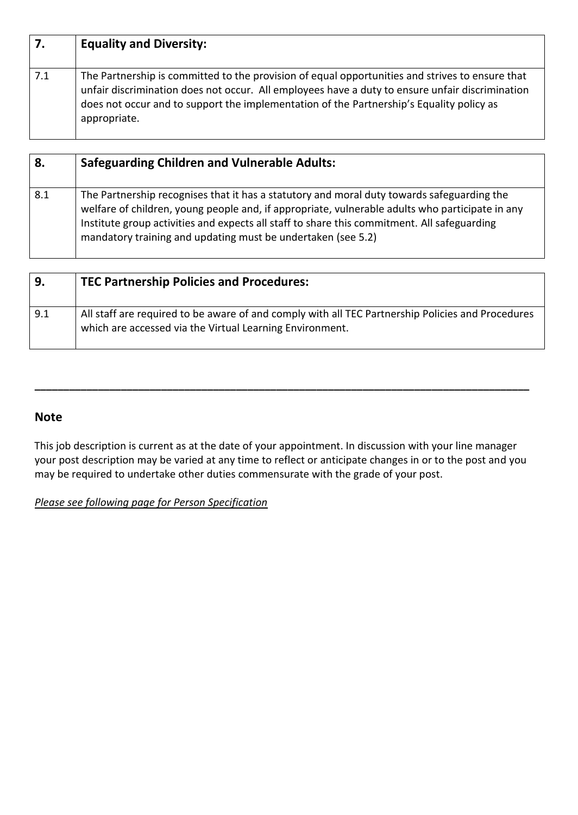| 7.  | <b>Equality and Diversity:</b>                                                                                                                                                                                                                                                                                 |
|-----|----------------------------------------------------------------------------------------------------------------------------------------------------------------------------------------------------------------------------------------------------------------------------------------------------------------|
| 7.1 | The Partnership is committed to the provision of equal opportunities and strives to ensure that<br>unfair discrimination does not occur. All employees have a duty to ensure unfair discrimination<br>does not occur and to support the implementation of the Partnership's Equality policy as<br>appropriate. |

| 8.  | <b>Safeguarding Children and Vulnerable Adults:</b>                                                                                                                                                                                                                                                                                                          |
|-----|--------------------------------------------------------------------------------------------------------------------------------------------------------------------------------------------------------------------------------------------------------------------------------------------------------------------------------------------------------------|
| 8.1 | The Partnership recognises that it has a statutory and moral duty towards safeguarding the<br>welfare of children, young people and, if appropriate, vulnerable adults who participate in any<br>Institute group activities and expects all staff to share this commitment. All safeguarding<br>mandatory training and updating must be undertaken (see 5.2) |

| 9.  | <b>TEC Partnership Policies and Procedures:</b>                                                                                                               |
|-----|---------------------------------------------------------------------------------------------------------------------------------------------------------------|
| 9.1 | All staff are required to be aware of and comply with all TEC Partnership Policies and Procedures<br>which are accessed via the Virtual Learning Environment. |

## **Note**

This job description is current as at the date of your appointment. In discussion with your line manager your post description may be varied at any time to reflect or anticipate changes in or to the post and you may be required to undertake other duties commensurate with the grade of your post.

**\_\_\_\_\_\_\_\_\_\_\_\_\_\_\_\_\_\_\_\_\_\_\_\_\_\_\_\_\_\_\_\_\_\_\_\_\_\_\_\_\_\_\_\_\_\_\_\_\_\_\_\_\_\_\_\_\_\_\_\_\_\_\_\_\_\_\_\_\_\_\_\_\_\_\_\_\_\_\_\_\_\_\_\_\_\_** 

## *Please see following page for Person Specification*